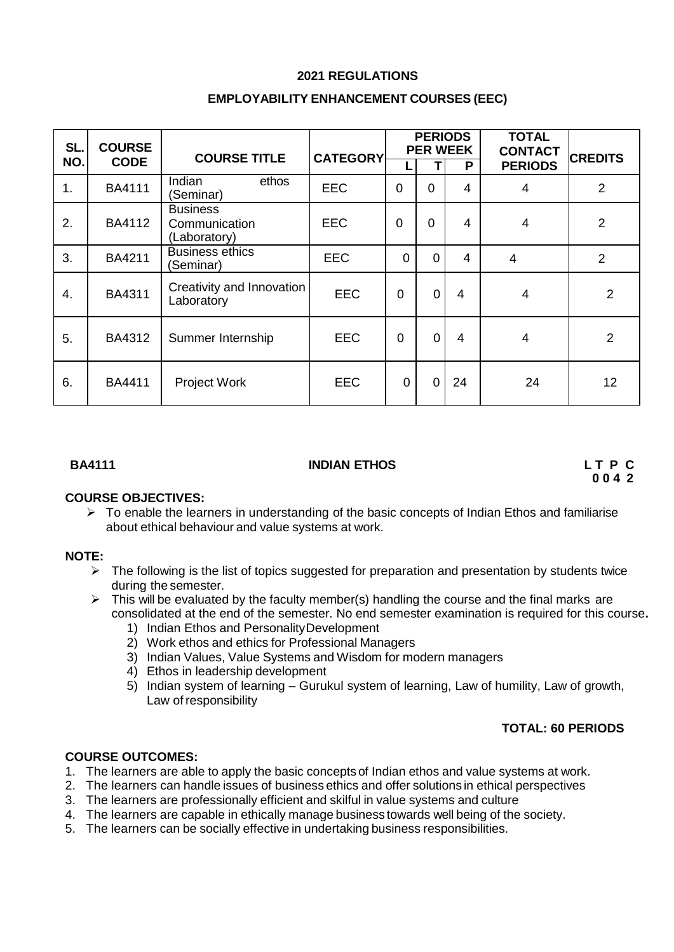## **2021 REGULATIONS**

| SL. | <b>COURSE</b> | <b>COURSE TITLE</b>                              | <b>CATEGORY</b> | <b>PERIODS</b><br><b>PER WEEK</b> |                |                | <b>TOTAL</b><br><b>CONTACT</b> | <b>CREDITS</b> |
|-----|---------------|--------------------------------------------------|-----------------|-----------------------------------|----------------|----------------|--------------------------------|----------------|
| NO. | <b>CODE</b>   |                                                  |                 |                                   |                | P              | <b>PERIODS</b>                 |                |
| 1.  | <b>BA4111</b> | Indian<br>ethos<br>(Seminar)                     | <b>EEC</b>      | $\Omega$                          | $\Omega$       | 4              | $\overline{4}$                 | $\overline{2}$ |
| 2.  | BA4112        | <b>Business</b><br>Communication<br>(Laboratory) | <b>EEC</b>      | $\overline{0}$                    | 0              | 4              | $\overline{4}$                 | $\overline{2}$ |
| 3.  | BA4211        | <b>Business ethics</b><br>(Seminar)              | <b>EEC</b>      | $\Omega$                          | $\overline{0}$ | $\overline{4}$ | $\overline{4}$                 | $\overline{2}$ |
| 4.  | BA4311        | Creativity and Innovation<br>Laboratory          | <b>EEC</b>      | $\mathbf 0$                       | $\overline{0}$ | $\overline{4}$ | 4                              | $\overline{2}$ |
| 5.  | BA4312        | Summer Internship                                | <b>EEC</b>      | $\mathbf 0$                       | $\overline{0}$ | $\overline{4}$ | 4                              | $\overline{2}$ |
| 6.  | <b>BA4411</b> | <b>Project Work</b>                              | <b>EEC</b>      | $\mathbf 0$                       | $\overline{0}$ | 24             | 24                             | 12             |

#### **BA4111 INDIAN ETHOS L T P C**

**0 0 4 2**

#### **COURSE OBJECTIVES:**

 $\triangleright$  To enable the learners in understanding of the basic concepts of Indian Ethos and familiarise about ethical behaviour and value systems at work.

#### **NOTE:**

- $\triangleright$  The following is the list of topics suggested for preparation and presentation by students twice during the semester.
- $\triangleright$  This will be evaluated by the faculty member(s) handling the course and the final marks are consolidated at the end of the semester. No end semester examination is required for this course**.**
	- 1) Indian Ethos and PersonalityDevelopment
	- 2) Work ethos and ethics for Professional Managers
	- 3) Indian Values, Value Systems and Wisdom for modern managers
	- 4) Ethos in leadership development
	- 5) Indian system of learning Gurukul system of learning, Law of humility, Law of growth, Law of responsibility

## **TOTAL: 60 PERIODS**

#### **COURSE OUTCOMES:**

- 1. The learners are able to apply the basic concepts of Indian ethos and value systems at work.
- 2. The learners can handle issues of business ethics and offer solutions in ethical perspectives
- 3. The learners are professionally efficient and skilful in value systems and culture
- 4. The learners are capable in ethically manage business towards well being of the society.
- 5. The learners can be socially effective in undertaking business responsibilities.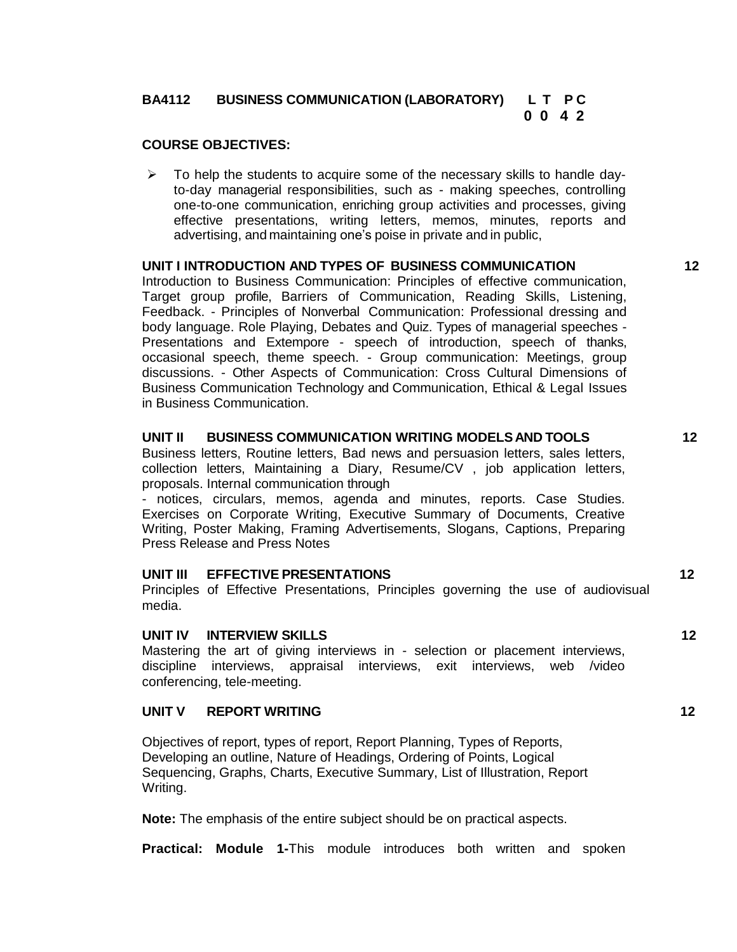#### **BA4112 BUSINESS COMMUNICATION (LABORATORY) L T P C 0 0 4 2**

## **COURSE OBJECTIVES:**

 $\triangleright$  To help the students to acquire some of the necessary skills to handle dayto-day managerial responsibilities, such as - making speeches, controlling one-to-one communication, enriching group activities and processes, giving effective presentations, writing letters, memos, minutes, reports and advertising, and maintaining one's poise in private and in public,

### **UNIT I INTRODUCTION AND TYPES OF BUSINESS COMMUNICATION 12**

Introduction to Business Communication: Principles of effective communication, Target group profile, Barriers of Communication, Reading Skills, Listening, Feedback. - Principles of Nonverbal Communication: Professional dressing and body language. Role Playing, Debates and Quiz. Types of managerial speeches - Presentations and Extempore - speech of introduction, speech of thanks, occasional speech, theme speech. - Group communication: Meetings, group discussions. - Other Aspects of Communication: Cross Cultural Dimensions of Business Communication Technology and Communication, Ethical & Legal Issues in Business Communication.

### **UNIT II BUSINESS COMMUNICATION WRITING MODELSAND TOOLS 12**

Business letters, Routine letters, Bad news and persuasion letters, sales letters, collection letters, Maintaining a Diary, Resume/CV , job application letters, proposals. Internal communication through

- notices, circulars, memos, agenda and minutes, reports. Case Studies. Exercises on Corporate Writing, Executive Summary of Documents, Creative Writing, Poster Making, Framing Advertisements, Slogans, Captions, Preparing Press Release and Press Notes

#### **UNIT III EFFECTIVE PRESENTATIONS 12**

Principles of Effective Presentations, Principles governing the use of audiovisual media.

#### **UNIT IV INTERVIEW SKILLS 12**

Mastering the art of giving interviews in - selection or placement interviews, discipline interviews, appraisal interviews, exit interviews, web /video conferencing, tele-meeting.

#### **UNIT V REPORT WRITING 12**

Objectives of report, types of report, Report Planning, Types of Reports, Developing an outline, Nature of Headings, Ordering of Points, Logical Sequencing, Graphs, Charts, Executive Summary, List of Illustration, Report Writing.

**Note:** The emphasis of the entire subject should be on practical aspects.

**Practical: Module 1-**This module introduces both written and spoken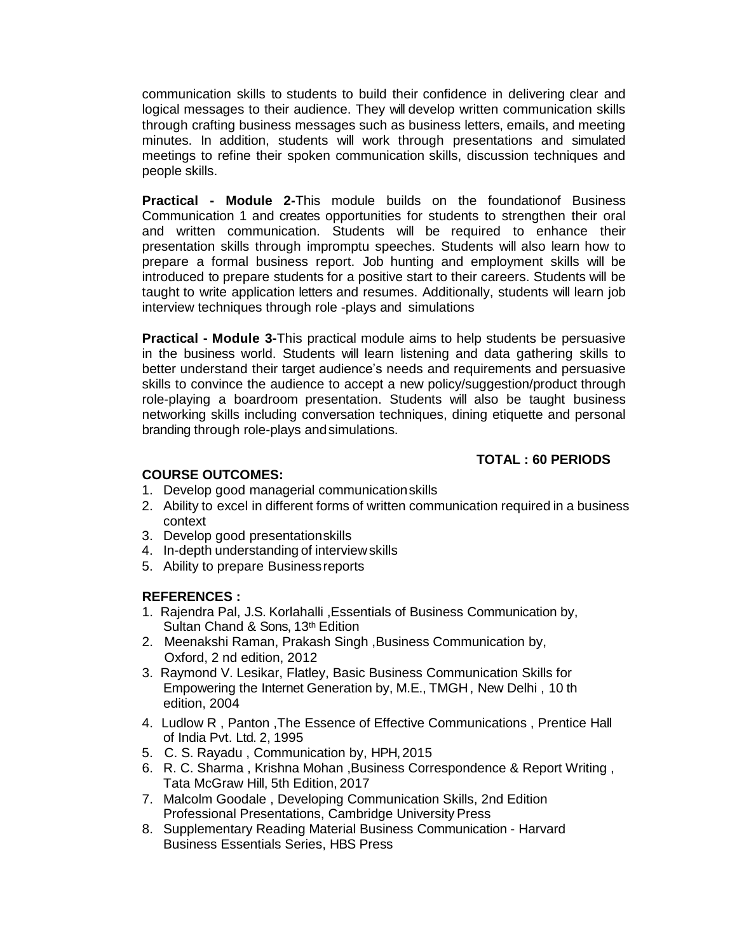communication skills to students to build their confidence in delivering clear and logical messages to their audience. They will develop written communication skills through crafting business messages such as business letters, emails, and meeting minutes. In addition, students will work through presentations and simulated meetings to refine their spoken communication skills, discussion techniques and people skills.

**Practical - Module 2-**This module builds on the foundationof Business Communication 1 and creates opportunities for students to strengthen their oral and written communication. Students will be required to enhance their presentation skills through impromptu speeches. Students will also learn how to prepare a formal business report. Job hunting and employment skills will be introduced to prepare students for a positive start to their careers. Students will be taught to write application letters and resumes. Additionally, students will learn job interview techniques through role -plays and simulations

**Practical - Module 3-**This practical module aims to help students be persuasive in the business world. Students will learn listening and data gathering skills to better understand their target audience's needs and requirements and persuasive skills to convince the audience to accept a new policy/suggestion/product through role-playing a boardroom presentation. Students will also be taught business networking skills including conversation techniques, dining etiquette and personal branding through role-plays andsimulations.

## **TOTAL : 60 PERIODS**

## **COURSE OUTCOMES:**

- 1. Develop good managerial communicationskills
- 2. Ability to excel in different forms of written communication required in a business context
- 3. Develop good presentationskills
- 4. In-depth understanding of interviewskills
- 5. Ability to prepare Businessreports

#### **REFERENCES :**

- 1. Rajendra Pal, J.S. Korlahalli ,Essentials of Business Communication by, Sultan Chand & Sons, 13th Edition
- 2. Meenakshi Raman, Prakash Singh ,Business Communication by, Oxford, 2 nd edition, 2012
- 3. Raymond V. Lesikar, Flatley, Basic Business Communication Skills for Empowering the Internet Generation by, M.E., TMGH, New Delhi , 10 th edition, 2004
- 4. Ludlow R , Panton ,The Essence of Effective Communications , Prentice Hall of India Pvt. Ltd. 2, 1995
- 5. C. S. Rayadu , Communication by, HPH,2015
- 6. R. C. Sharma , Krishna Mohan ,Business Correspondence & Report Writing , Tata McGraw Hill, 5th Edition, 2017
- 7. Malcolm Goodale , Developing Communication Skills, 2nd Edition Professional Presentations, Cambridge University Press
- 8. Supplementary Reading Material Business Communication Harvard Business Essentials Series, HBS Press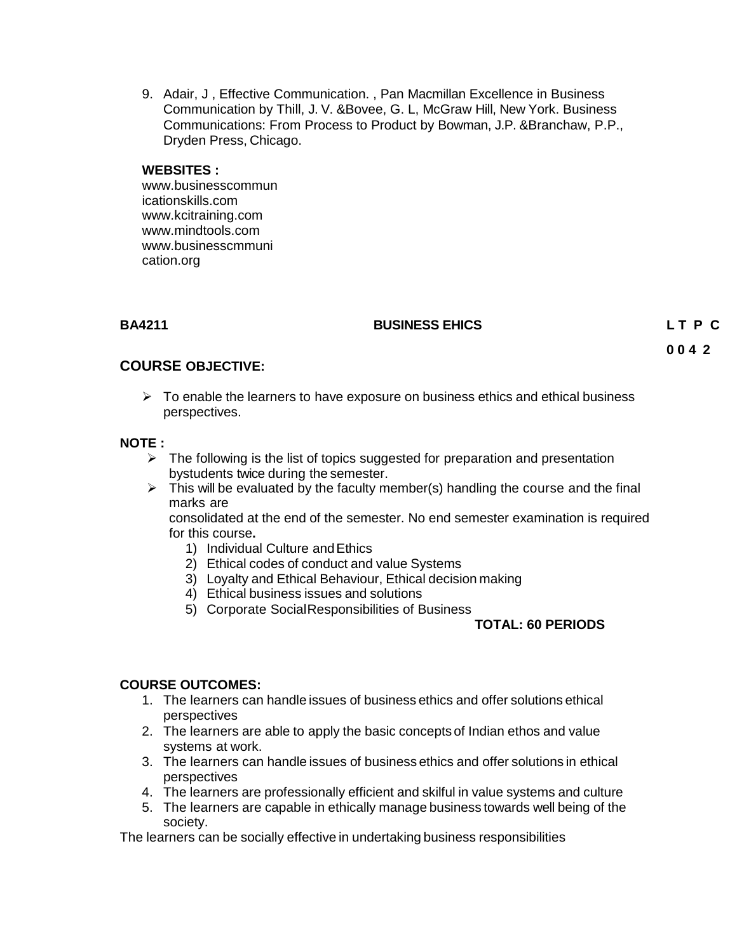9. Adair, J , Effective Communication. , Pan Macmillan Excellence in Business Communication by Thill, J. V. &Bovee, G. L, McGraw Hill, New York. Business Communications: From Process to Product by Bowman, J.P. &Branchaw, P.P., Dryden Press, Chicago.

#### **WEBSITES :**

[www.businesscommun](http://www.businesscommunicationskills.com/) [icationskills.com](http://www.businesscommunicationskills.com/) [www.kcitraining.com](http://www.kcitraining.com/) [www.mindtools.com](http://www.mindtools.com/) [www.businesscmmuni](http://www.businesscmmunication.org/) [cation.org](http://www.businesscmmunication.org/)

#### **BA4211 BUSINESS EHICS L T P C**

**0 0 4 2**

## **COURSE OBJECTIVE:**

 $\triangleright$  To enable the learners to have exposure on business ethics and ethical business perspectives.

## **NOTE :**

- $\triangleright$  The following is the list of topics suggested for preparation and presentation bystudents twice during the semester.
- $\triangleright$  This will be evaluated by the faculty member(s) handling the course and the final marks are

consolidated at the end of the semester. No end semester examination is required for this course**.**

- 1) Individual Culture andEthics
- 2) Ethical codes of conduct and value Systems
- 3) Loyalty and Ethical Behaviour, Ethical decision making
- 4) Ethical business issues and solutions
- 5) Corporate SocialResponsibilities of Business

## **TOTAL: 60 PERIODS**

## **COURSE OUTCOMES:**

- 1. The learners can handle issues of business ethics and offer solutions ethical perspectives
- 2. The learners are able to apply the basic concepts of Indian ethos and value systems at work.
- 3. The learners can handle issues of business ethics and offer solutions in ethical perspectives
- 4. The learners are professionally efficient and skilful in value systems and culture
- 5. The learners are capable in ethically manage business towards well being of the society.

The learners can be socially effective in undertaking business responsibilities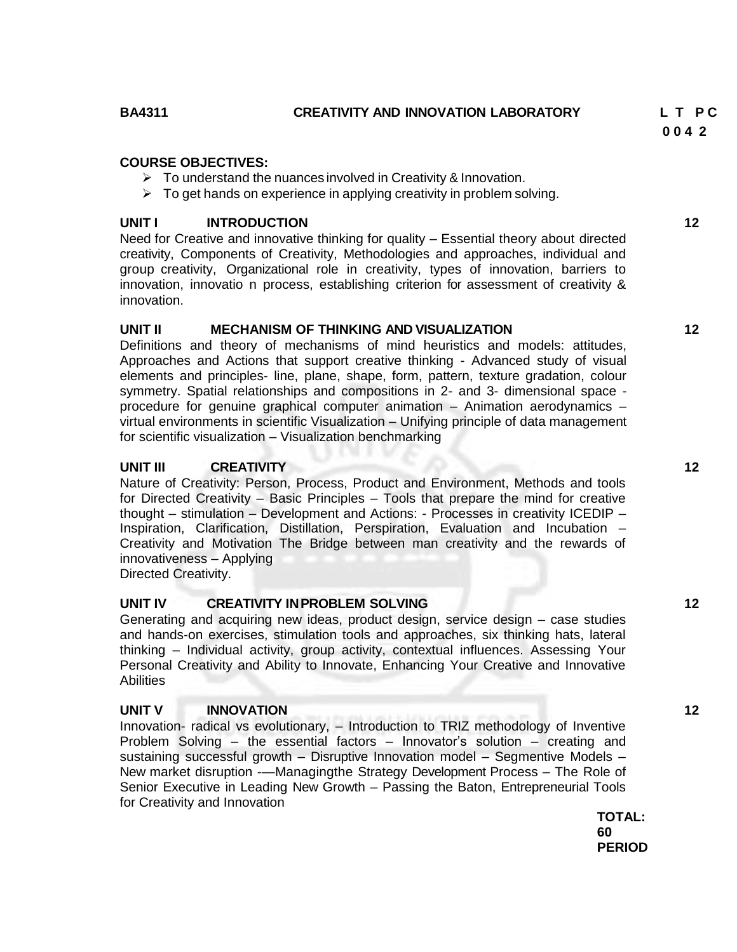# **BA4311 CREATIVITY AND INNOVATION LABORATORY L T P C**

## **COURSE OBJECTIVES:**

- $\triangleright$  To understand the nuances involved in Creativity & Innovation.
- $\triangleright$  To get hands on experience in applying creativity in problem solving.

## **UNIT I INTRODUCTION 12**

Need for Creative and innovative thinking for quality – Essential theory about directed creativity, Components of Creativity, Methodologies and approaches, individual and group creativity, Organizational role in creativity, types of innovation, barriers to innovation, innovatio n process, establishing criterion for assessment of creativity & innovation.

## **UNIT II MECHANISM OF THINKING AND VISUALIZATION 12**

Definitions and theory of mechanisms of mind heuristics and models: attitudes, Approaches and Actions that support creative thinking - Advanced study of visual elements and principles- line, plane, shape, form, pattern, texture gradation, colour symmetry. Spatial relationships and compositions in 2- and 3- dimensional space procedure for genuine graphical computer animation – Animation aerodynamics – virtual environments in scientific Visualization – Unifying principle of data management for scientific visualization – Visualization benchmarking

## **UNIT III CREATIVITY 12**

Nature of Creativity: Person, Process, Product and Environment, Methods and tools for Directed Creativity – Basic Principles – Tools that prepare the mind for creative thought – stimulation – Development and Actions: - Processes in creativity ICEDIP – Inspiration, Clarification, Distillation, Perspiration, Evaluation and Incubation – Creativity and Motivation The Bridge between man creativity and the rewards of innovativeness – Applying

Directed Creativity.

#### **UNIT IV CREATIVITY INPROBLEM SOLVING 12**

Generating and acquiring new ideas, product design, service design – case studies and hands-on exercises, stimulation tools and approaches, six thinking hats, lateral thinking – Individual activity, group activity, contextual influences. Assessing Your Personal Creativity and Ability to Innovate, Enhancing Your Creative and Innovative **Abilities** 

## **UNIT V INNOVATION 12**

Innovation- radical vs evolutionary, – Introduction to TRIZ methodology of Inventive Problem Solving – the essential factors – Innovator's solution – creating and sustaining successful growth – Disruptive Innovation model – Segmentive Models – New market disruption -—Managingthe Strategy Development Process – The Role of Senior Executive in Leading New Growth – Passing the Baton, Entrepreneurial Tools for Creativity and Innovation

**TOTAL: 60 PERIOD** **0 0 4 2**